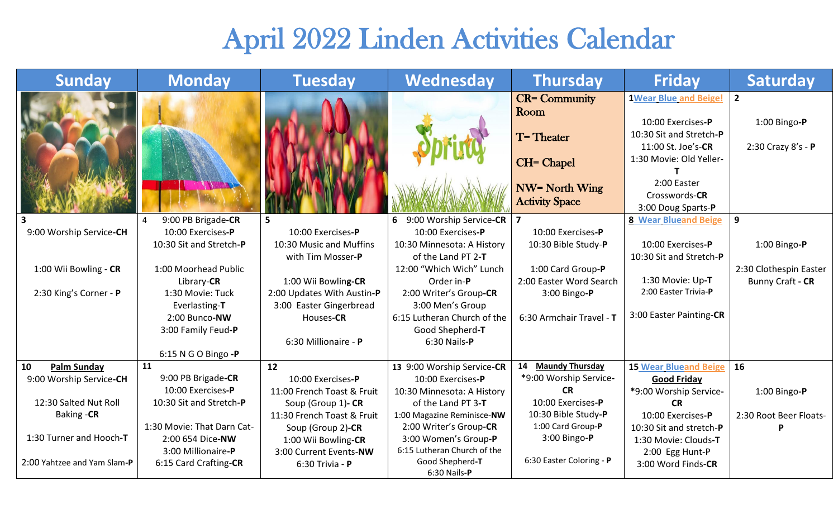## April 2022 Linden Activities Calendar

| <b>Sunday</b>               | <b>Monday</b>              | <b>Tuesday</b>             | Wednesday                       | <b>Thursday</b>          | <b>Friday</b>                                | <b>Saturday</b>        |
|-----------------------------|----------------------------|----------------------------|---------------------------------|--------------------------|----------------------------------------------|------------------------|
|                             |                            |                            |                                 | <b>CR=</b> Community     | <b>1Wear Blue and Beige!</b>                 | $\overline{2}$         |
|                             |                            |                            |                                 | Room                     |                                              |                        |
|                             |                            |                            |                                 |                          | 10:00 Exercises-P<br>10:30 Sit and Stretch-P | 1:00 Bingo-P           |
|                             |                            |                            |                                 | T=Theater                | 11:00 St. Joe's-CR                           | 2:30 Crazy 8's - P     |
|                             |                            |                            |                                 |                          | 1:30 Movie: Old Yeller-                      |                        |
|                             |                            |                            |                                 | <b>CH= Chapel</b>        |                                              |                        |
|                             |                            |                            |                                 |                          | 2:00 Easter                                  |                        |
|                             |                            |                            |                                 | <b>NW= North Wing</b>    | Crosswords-CR                                |                        |
|                             |                            |                            |                                 | <b>Activity Space</b>    | 3:00 Doug Sparts-P                           |                        |
|                             | 9:00 PB Brigade-CR         |                            | 6 9:00 Worship Service-CR       | $\overline{\mathbf{z}}$  | <b>8 Wear Blueand Beige</b>                  | 9                      |
| 9:00 Worship Service-CH     | 10:00 Exercises-P          | 10:00 Exercises-P          | 10:00 Exercises-P               | 10:00 Exercises-P        |                                              |                        |
|                             | 10:30 Sit and Stretch-P    | 10:30 Music and Muffins    | 10:30 Minnesota: A History      | 10:30 Bible Study-P      | 10:00 Exercises-P                            | 1:00 Bingo- $P$        |
|                             |                            | with Tim Mosser-P          | of the Land PT 2-T              |                          | 10:30 Sit and Stretch-P                      |                        |
| 1:00 Wii Bowling - CR       | 1:00 Moorhead Public       |                            | 12:00 "Which Wich" Lunch        | 1:00 Card Group-P        |                                              | 2:30 Clothespin Easter |
|                             | Library-CR                 | 1:00 Wii Bowling-CR        | Order in-P                      | 2:00 Easter Word Search  | 1:30 Movie: Up-T                             | Bunny Craft - CR       |
| 2:30 King's Corner - P      | 1:30 Movie: Tuck           | 2:00 Updates With Austin-P | 2:00 Writer's Group-CR          | 3:00 Bingo-P             | 2:00 Easter Trivia-P                         |                        |
|                             | Everlasting-T              | 3:00 Easter Gingerbread    | 3:00 Men's Group                |                          | 3:00 Easter Painting-CR                      |                        |
|                             | 2:00 Bunco-NW              | Houses-CR                  | 6:15 Lutheran Church of the     | 6:30 Armchair Travel - T |                                              |                        |
|                             | 3:00 Family Feud-P         |                            | Good Shepherd-T                 |                          |                                              |                        |
|                             |                            | 6:30 Millionaire - P       | 6:30 Nails-P                    |                          |                                              |                        |
|                             | 6:15 N G O Bingo -P        |                            |                                 |                          |                                              |                        |
| 10<br><b>Palm Sunday</b>    | 11                         | 12                         | 13 9:00 Worship Service-CR      | 14 Maundy Thursday       | <b>15 Wear Blueand Beige</b>                 | 16                     |
| 9:00 Worship Service-CH     | 9:00 PB Brigade-CR         | 10:00 Exercises-P          | 10:00 Exercises-P               | *9:00 Worship Service-   | <b>Good Friday</b>                           |                        |
|                             | 10:00 Exercises-P          | 11:00 French Toast & Fruit | 10:30 Minnesota: A History      | <b>CR</b>                | *9:00 Worship Service-                       | 1:00 Bingo- $P$        |
| 12:30 Salted Nut Roll       | 10:30 Sit and Stretch-P    | Soup (Group 1)- CR         | of the Land PT 3-T              | 10:00 Exercises-P        | <b>CR</b>                                    |                        |
| Baking -CR                  |                            | 11:30 French Toast & Fruit | 1:00 Magazine Reminisce-NW      | 10:30 Bible Study-P      | 10:00 Exercises-P                            | 2:30 Root Beer Floats- |
|                             | 1:30 Movie: That Darn Cat- | Soup (Group 2)-CR          | 2:00 Writer's Group-CR          | 1:00 Card Group-P        | 10:30 Sit and stretch-P                      | P                      |
| 1:30 Turner and Hooch-T     | 2:00 654 Dice-NW           | 1:00 Wii Bowling-CR        | 3:00 Women's Group-P            | 3:00 Bingo-P             | 1:30 Movie: Clouds-T                         |                        |
|                             | 3:00 Millionaire-P         | 3:00 Current Events-NW     | 6:15 Lutheran Church of the     |                          | 2:00 Egg Hunt-P                              |                        |
| 2:00 Yahtzee and Yam Slam-P | 6:15 Card Crafting-CR      | 6:30 Trivia - P            | Good Shepherd-T<br>6:30 Nails-P | 6:30 Easter Coloring - P | 3:00 Word Finds-CR                           |                        |